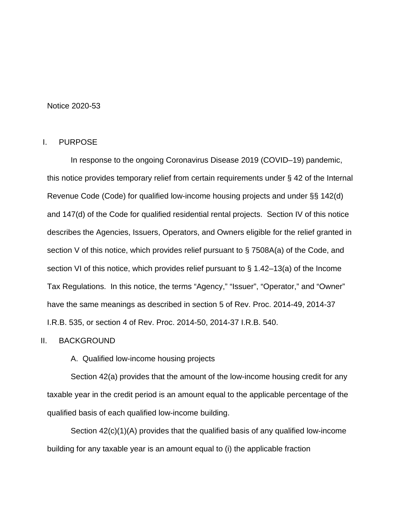### Notice 2020-53

### I. PURPOSE

In response to the ongoing Coronavirus Disease 2019 (COVID–19) pandemic, this notice provides temporary relief from certain requirements under § 42 of the Internal Revenue Code (Code) for qualified low-income housing projects and under §§ 142(d) and 147(d) of the Code for qualified residential rental projects. Section IV of this notice describes the Agencies, Issuers, Operators, and Owners eligible for the relief granted in section V of this notice, which provides relief pursuant to § 7508A(a) of the Code, and section VI of this notice, which provides relief pursuant to § 1.42–13(a) of the Income Tax Regulations. In this notice, the terms "Agency," "Issuer", "Operator," and "Owner" have the same meanings as described in section 5 of Rev. Proc. 2014-49, 2014-37 I.R.B. 535, or section 4 of Rev. Proc. 2014-50, 2014-37 I.R.B. 540.

### II. BACKGROUND

A. Qualified low-income housing projects

Section 42(a) provides that the amount of the low-income housing credit for any taxable year in the credit period is an amount equal to the applicable percentage of the qualified basis of each qualified low-income building.

Section 42(c)(1)(A) provides that the qualified basis of any qualified low-income building for any taxable year is an amount equal to (i) the applicable fraction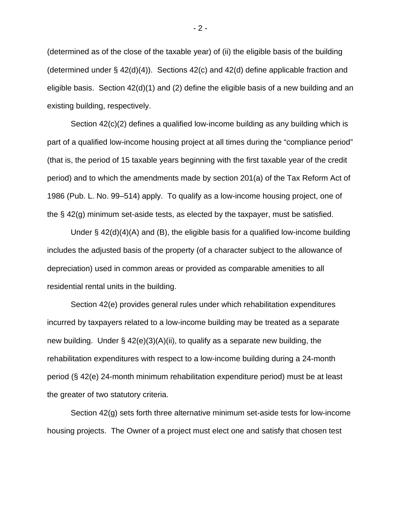(determined as of the close of the taxable year) of (ii) the eligible basis of the building (determined under § 42(d)(4)). Sections 42(c) and 42(d) define applicable fraction and eligible basis. Section 42(d)(1) and (2) define the eligible basis of a new building and an existing building, respectively.

Section 42(c)(2) defines a qualified low-income building as any building which is part of a qualified low-income housing project at all times during the "compliance period" (that is, the period of 15 taxable years beginning with the first taxable year of the credit period) and to which the amendments made by section 201(a) of the Tax Reform Act of 1986 (Pub. L. No. 99–514) apply. To qualify as a low-income housing project, one of the § 42(g) minimum set-aside tests, as elected by the taxpayer, must be satisfied.

Under § 42(d)(4)(A) and (B), the eligible basis for a qualified low-income building includes the adjusted basis of the property (of a character subject to the allowance of depreciation) used in common areas or provided as comparable amenities to all residential rental units in the building.

Section 42(e) provides general rules under which rehabilitation expenditures incurred by taxpayers related to a low-income building may be treated as a separate new building. Under  $\S$  42(e)(3)(A)(ii), to qualify as a separate new building, the rehabilitation expenditures with respect to a low-income building during a 24-month period (§ 42(e) 24-month minimum rehabilitation expenditure period) must be at least the greater of two statutory criteria.

Section 42(g) sets forth three alternative minimum set-aside tests for low-income housing projects. The Owner of a project must elect one and satisfy that chosen test

 $-2 -$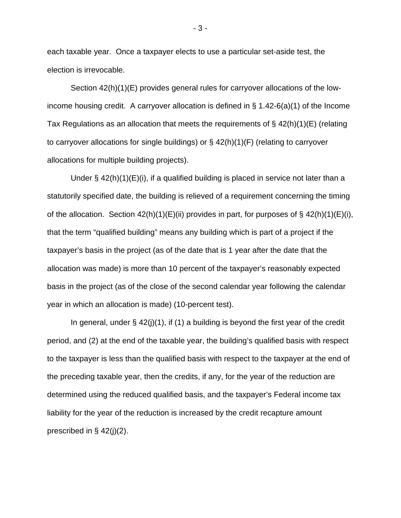each taxable year. Once a taxpayer elects to use a particular set-aside test, the election is irrevocable.

Section 42(h)(1)(E) provides general rules for carryover allocations of the lowincome housing credit. A carryover allocation is defined in § 1.42-6(a)(1) of the Income Tax Regulations as an allocation that meets the requirements of  $\S$  42(h)(1)(E) (relating to carryover allocations for single buildings) or  $\S$  42(h)(1)(F) (relating to carryover allocations for multiple building projects).

Under  $\S$  42(h)(1)(E)(i), if a qualified building is placed in service not later than a statutorily specified date, the building is relieved of a requirement concerning the timing of the allocation. Section  $42(h)(1)(E)(ii)$  provides in part, for purposes of §  $42(h)(1)(E)(i)$ , that the term "qualified building" means any building which is part of a project if the taxpayer's basis in the project (as of the date that is 1 year after the date that the allocation was made) is more than 10 percent of the taxpayer's reasonably expected basis in the project (as of the close of the second calendar year following the calendar year in which an allocation is made) (10-percent test).

In general, under  $\S$  42(j)(1), if (1) a building is beyond the first year of the credit period, and (2) at the end of the taxable year, the building's qualified basis with respect to the taxpayer is less than the qualified basis with respect to the taxpayer at the end of the preceding taxable year, then the credits, if any, for the year of the reduction are determined using the reduced qualified basis, and the taxpayer's Federal income tax liability for the year of the reduction is increased by the credit recapture amount prescribed in § 42(j)(2).

- 3 -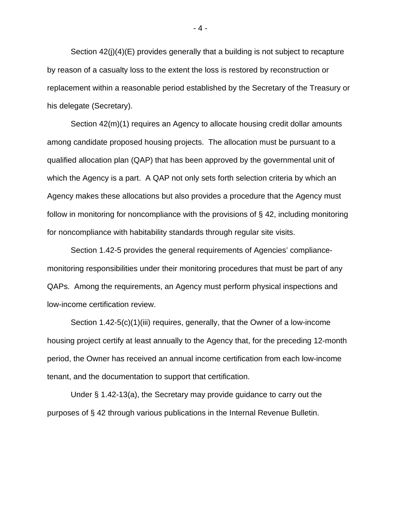Section 42(j)(4)(E) provides generally that a building is not subject to recapture by reason of a casualty loss to the extent the loss is restored by reconstruction or replacement within a reasonable period established by the Secretary of the Treasury or his delegate (Secretary).

Section 42(m)(1) requires an Agency to allocate housing credit dollar amounts among candidate proposed housing projects. The allocation must be pursuant to a qualified allocation plan (QAP) that has been approved by the governmental unit of which the Agency is a part. A QAP not only sets forth selection criteria by which an Agency makes these allocations but also provides a procedure that the Agency must follow in monitoring for noncompliance with the provisions of  $\S$  42, including monitoring for noncompliance with habitability standards through regular site visits.

Section 1.42-5 provides the general requirements of Agencies' compliancemonitoring responsibilities under their monitoring procedures that must be part of any QAPs. Among the requirements, an Agency must perform physical inspections and low-income certification review.

Section 1.42-5(c)(1)(iii) requires, generally, that the Owner of a low-income housing project certify at least annually to the Agency that, for the preceding 12-month period, the Owner has received an annual income certification from each low-income tenant, and the documentation to support that certification.

Under § 1.42-13(a), the Secretary may provide guidance to carry out the purposes of § 42 through various publications in the Internal Revenue Bulletin.

- 4 -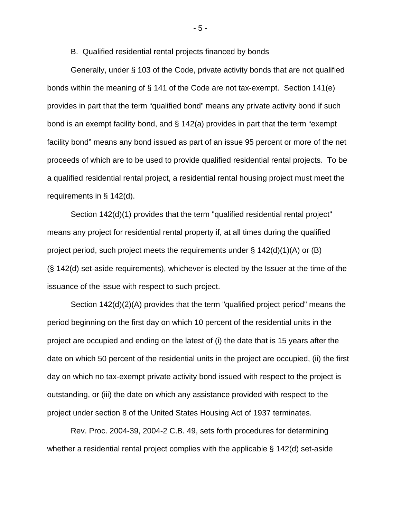B. Qualified residential rental projects financed by bonds

Generally, under § 103 of the Code, private activity bonds that are not qualified bonds within the meaning of § 141 of the Code are not tax-exempt. Section 141(e) provides in part that the term "qualified bond" means any private activity bond if such bond is an exempt facility bond, and § 142(a) provides in part that the term "exempt facility bond" means any bond issued as part of an issue 95 percent or more of the net proceeds of which are to be used to provide qualified residential rental projects. To be a qualified residential rental project, a residential rental housing project must meet the requirements in § 142(d).

[Section 142\(d\)\(1\)](https://advance.lexis.com/document/?crid=287c6fb9-94c7-4654-a31d-89a5448988ba&pdmfid=&pddocfullpath=%2fshared%2fdocument%2fadministrative-materials%2furn%3acontentItem%3a4CS4-0F30-000D-F03D-00000-00&pdcontentcomponentid=6122&requestedsource=GetADoc&prid=b2f88293-a3f9-4b37-aa51-b1bb7fc6dd39&ecomp=nyL_kkk&pdactivecontenttype=urn:ict:1010) provides that the term "qualified residential rental project" means any project for residential rental property if, at all times during the qualified project period, such project meets the requirements under  $\S$  142(d)(1)(A) or (B) (§ 142(d) set-aside requirements), whichever is elected by the Issuer at the time of the issuance of the issue with respect to such project.

[Section 142\(d\)\(2\)\(A\)](https://advance.lexis.com/document/?crid=287c6fb9-94c7-4654-a31d-89a5448988ba&pdmfid=&pddocfullpath=%2fshared%2fdocument%2fadministrative-materials%2furn%3acontentItem%3a4CS4-0F30-000D-F03D-00000-00&pdcontentcomponentid=6122&requestedsource=GetADoc&prid=b2f88293-a3f9-4b37-aa51-b1bb7fc6dd39&ecomp=nyL_kkk&pdactivecontenttype=urn:ict:1010) provides that the term "qualified project period" means the period beginning on the first day on which 10 percent of the residential units in the project are occupied and ending on the latest of (i) the date that is 15 years after the date on which 50 percent of the residential units in the project are occupied, (ii) the first day on which no tax-exempt private activity bond issued with respect to the project is outstanding, or (iii) the date on which any assistance provided with respect to the project under section 8 of the United States Housing Act of 1937 terminates.

Rev. Proc. 2004-39, 2004-2 C.B. 49, sets forth procedures for determining whether a residential rental project complies with the applicable § 142(d) set-aside

- 5 -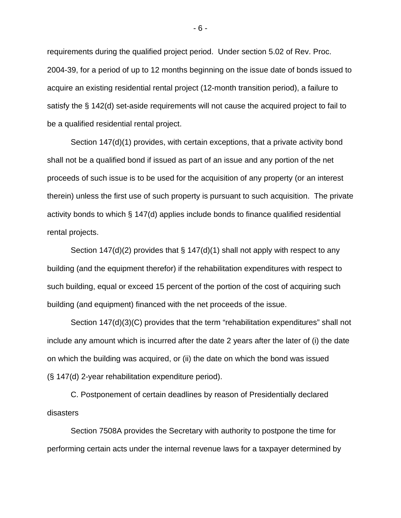requirements during the qualified project period. Under section 5.02 of Rev. Proc. 2004-39, for a period of up to 12 months beginning on the issue date of bonds issued to acquire an existing residential rental project (12-month transition period), a failure to satisfy the § 142(d) set-aside requirements will not cause the acquired project to fail to be a qualified residential rental project.

Section 147(d)(1) provides, with certain exceptions, that a private activity bond shall not be a qualified bond if issued as part of an issue and any portion of the net proceeds of such issue is to be used for the acquisition of any property (or an interest therein) unless the first use of such property is pursuant to such acquisition. The private activity bonds to which § 147(d) applies include bonds to finance qualified residential rental projects.

Section 147(d)(2) provides that  $\S$  147(d)(1) shall not apply with respect to any building (and the equipment therefor) if the rehabilitation expenditures with respect to such building, equal or exceed 15 percent of the portion of the cost of acquiring such building (and equipment) financed with the net proceeds of the issue.

Section 147(d)(3)(C) provides that the term "rehabilitation expenditures" shall not include any amount which is incurred after the date 2 years after the later of (i) the date on which the building was acquired, or (ii) the date on which the bond was issued (§ 147(d) 2-year rehabilitation expenditure period).

C. Postponement of certain deadlines by reason of Presidentially declared disasters

Section 7508A provides the Secretary with authority to postpone the time for performing certain acts under the internal revenue laws for a taxpayer determined by

- 6 -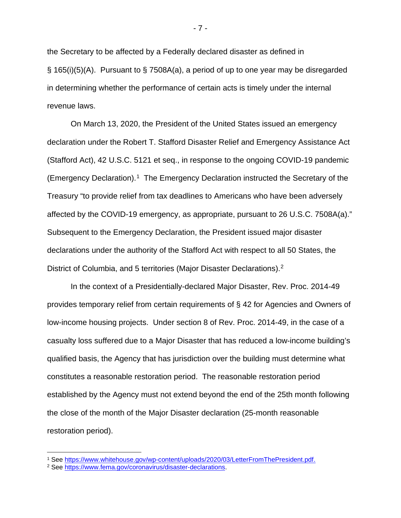the Secretary to be affected by a Federally declared disaster as defined in § 165(i)(5)(A). Pursuant to § 7508A(a), a period of up to one year may be disregarded in determining whether the performance of certain acts is timely under the internal revenue laws.

On March 13, 2020, the President of the United States issued an emergency declaration under the Robert T. Stafford Disaster Relief and Emergency Assistance Act (Stafford Act), 42 U.S.C. 5121 et seq., in response to the ongoing COVID-19 pandemic (Emergency Declaration).[1](#page-6-0) The Emergency Declaration instructed the Secretary of the Treasury "to provide relief from tax deadlines to Americans who have been adversely affected by the COVID-19 emergency, as appropriate, pursuant to 26 U.S.C. 7508A(a)." Subsequent to the Emergency Declaration, the President issued major disaster declarations under the authority of the Stafford Act with respect to all 50 States, the District of Columbia, and 5 territories (Major Disaster Declarations).[2](#page-6-1)

In the context of a Presidentially-declared Major Disaster, Rev. Proc. 2014-49 provides temporary relief from certain requirements of § 42 for Agencies and Owners of low-income housing projects. Under section 8 of Rev. Proc. 2014-49, in the case of a casualty loss suffered due to a Major Disaster that has reduced a low-income building's qualified basis, the Agency that has jurisdiction over the building must determine what constitutes a reasonable restoration period. The reasonable restoration period established by the Agency must not extend beyond the end of the 25th month following the close of the month of the Major Disaster declaration (25-month reasonable restoration period).

<span id="page-6-0"></span><sup>&</sup>lt;sup>1</sup> See [https://www.whitehouse.gov/wp-content/uploads/2020/03/LetterFromThePresident.pdf.](https://www.whitehouse.gov/wp-content/uploads/2020/03/LetterFromThePresident.pdf)

<span id="page-6-1"></span><sup>2</sup> See [https://www.fema.gov/coronavirus/disaster-declarations.](https://www.fema.gov/coronavirus/disaster-declarations)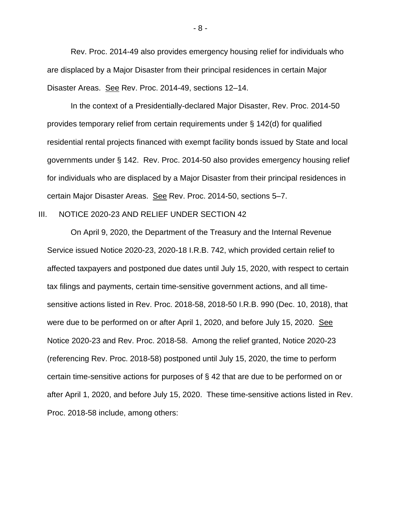Rev. Proc. 2014-49 also provides emergency housing relief for individuals who are displaced by a Major Disaster from their principal residences in certain Major Disaster Areas. See Rev. Proc. 2014-49, sections 12–14.

In the context of a Presidentially-declared Major Disaster, Rev. Proc. 2014-50 provides temporary relief from certain requirements under § 142(d) for qualified residential rental projects financed with exempt facility bonds issued by State and local governments under § 142. Rev. Proc. 2014-50 also provides emergency housing relief for individuals who are displaced by a Major Disaster from their principal residences in certain Major Disaster Areas. See Rev. Proc. 2014-50, sections 5–7.

## III. NOTICE 2020-23 AND RELIEF UNDER SECTION 42

On April 9, 2020, the Department of the Treasury and the Internal Revenue Service issued Notice 2020-23, 2020-18 I.R.B. 742, which provided certain relief to affected taxpayers and postponed due dates until July 15, 2020, with respect to certain tax filings and payments, certain time-sensitive government actions, and all timesensitive actions listed in Rev. Proc. 2018-58, 2018-50 I.R.B. 990 (Dec. 10, 2018), that were due to be performed on or after April 1, 2020, and before July 15, 2020. See Notice 2020-23 and Rev. Proc. 2018-58. Among the relief granted, Notice 2020-23 (referencing Rev. Proc. 2018-58) postponed until July 15, 2020, the time to perform certain time-sensitive actions for purposes of § 42 that are due to be performed on or after April 1, 2020, and before July 15, 2020. These time-sensitive actions listed in Rev. Proc. 2018-58 include, among others: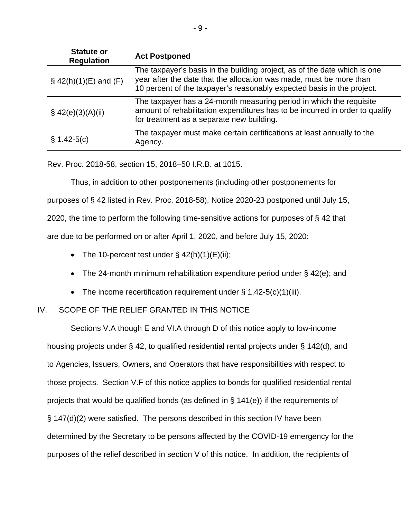| <b>Statute or</b><br><b>Regulation</b> | <b>Act Postponed</b>                                                                                                                                                                                                       |
|----------------------------------------|----------------------------------------------------------------------------------------------------------------------------------------------------------------------------------------------------------------------------|
| $\S$ 42(h)(1)(E) and (F)               | The taxpayer's basis in the building project, as of the date which is one<br>year after the date that the allocation was made, must be more than<br>10 percent of the taxpayer's reasonably expected basis in the project. |
| \$42(e)(3)(A)(ii)                      | The taxpayer has a 24-month measuring period in which the requisite<br>amount of rehabilitation expenditures has to be incurred in order to qualify<br>for treatment as a separate new building.                           |
| $\S 1.42 - 5(c)$                       | The taxpayer must make certain certifications at least annually to the<br>Agency.                                                                                                                                          |

Rev. Proc. 2018-58, section 15, 2018–50 I.R.B. at 1015.

Thus, in addition to other postponements (including other postponements for purposes of § 42 listed in Rev. Proc. 2018-58), Notice 2020-23 postponed until July 15, 2020, the time to perform the following time-sensitive actions for purposes of § 42 that are due to be performed on or after April 1, 2020, and before July 15, 2020:

- The 10-percent test under  $\S$  42(h)(1)(E)(ii);
- The 24-month minimum rehabilitation expenditure period under § 42(e); and
- The income recertification requirement under  $\S$  1.42-5(c)(1)(iii).

# IV. SCOPE OF THE RELIEF GRANTED IN THIS NOTICE

Sections V.A though E and VI.A through D of this notice apply to low-income housing projects under § 42, to qualified residential rental projects under § 142(d), and to Agencies, Issuers, Owners, and Operators that have responsibilities with respect to those projects. Section V.F of this notice applies to bonds for qualified residential rental projects that would be qualified bonds (as defined in  $\S$  141(e)) if the requirements of § 147(d)(2) were satisfied. The persons described in this section IV have been determined by the Secretary to be persons affected by the COVID-19 emergency for the purposes of the relief described in section V of this notice. In addition, the recipients of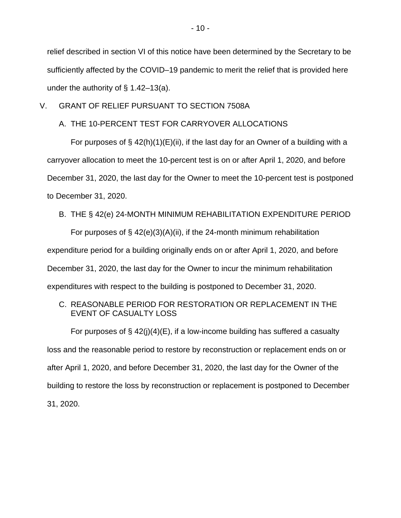relief described in section VI of this notice have been determined by the Secretary to be sufficiently affected by the COVID–19 pandemic to merit the relief that is provided here under the authority of  $\S$  1.42–13(a).

# V. GRANT OF RELIEF PURSUANT TO SECTION 7508A

## A. THE 10-PERCENT TEST FOR CARRYOVER ALLOCATIONS

For purposes of  $\S$  42(h)(1)(E)(ii), if the last day for an Owner of a building with a carryover allocation to meet the 10-percent test is on or after April 1, 2020, and before December 31, 2020, the last day for the Owner to meet the 10-percent test is postponed to December 31, 2020.

### B. THE § 42(e) 24-MONTH MINIMUM REHABILITATION EXPENDITURE PERIOD

For purposes of  $\S$  42(e)(3)(A)(ii), if the 24-month minimum rehabilitation expenditure period for a building originally ends on or after April 1, 2020, and before December 31, 2020, the last day for the Owner to incur the minimum rehabilitation expenditures with respect to the building is postponed to December 31, 2020.

# C. REASONABLE PERIOD FOR RESTORATION OR REPLACEMENT IN THE EVENT OF CASUALTY LOSS

For purposes of  $\S 42(i)(4)(E)$ , if a low-income building has suffered a casualty loss and the reasonable period to restore by reconstruction or replacement ends on or after April 1, 2020, and before December 31, 2020, the last day for the Owner of the building to restore the loss by reconstruction or replacement is postponed to December 31, 2020.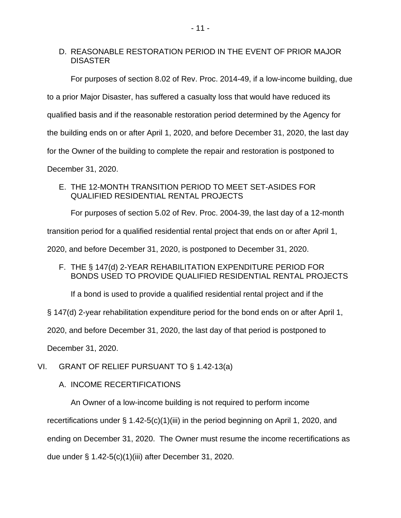# D. REASONABLE RESTORATION PERIOD IN THE EVENT OF PRIOR MAJOR DISASTER

For purposes of section 8.02 of Rev. Proc. 2014-49, if a low-income building, due to a prior Major Disaster, has suffered a casualty loss that would have reduced its qualified basis and if the reasonable restoration period determined by the Agency for the building ends on or after April 1, 2020, and before December 31, 2020, the last day for the Owner of the building to complete the repair and restoration is postponed to December 31, 2020.

E. THE 12-MONTH TRANSITION PERIOD TO MEET SET-ASIDES FOR QUALIFIED RESIDENTIAL RENTAL PROJECTS

For purposes of section 5.02 of Rev. Proc. 2004-39, the last day of a 12-month

transition period for a qualified residential rental project that ends on or after April 1,

2020, and before December 31, 2020, is postponed to December 31, 2020.

F. THE § 147(d) 2-YEAR REHABILITATION EXPENDITURE PERIOD FOR BONDS USED TO PROVIDE QUALIFIED RESIDENTIAL RENTAL PROJECTS

If a bond is used to provide a qualified residential rental project and if the

§ 147(d) 2-year rehabilitation expenditure period for the bond ends on or after April 1,

2020, and before December 31, 2020, the last day of that period is postponed to

December 31, 2020.

VI. GRANT OF RELIEF PURSUANT TO § 1.42-13(a)

A. INCOME RECERTIFICATIONS

An Owner of a low-income building is not required to perform income

recertifications under § 1.42-5(c)(1)(iii) in the period beginning on April 1, 2020, and

ending on December 31, 2020. The Owner must resume the income recertifications as

due under § 1.42-5(c)(1)(iii) after December 31, 2020.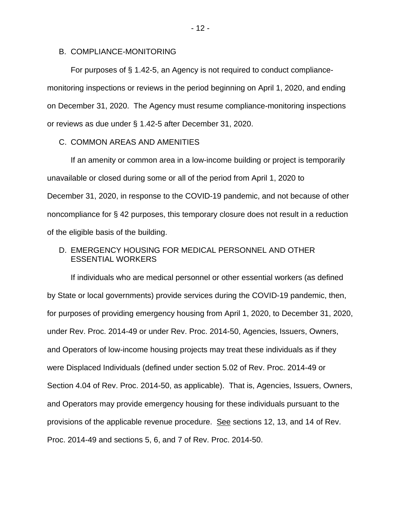### B. COMPLIANCE-MONITORING

For purposes of § 1.42-5, an Agency is not required to conduct compliancemonitoring inspections or reviews in the period beginning on April 1, 2020, and ending on December 31, 2020. The Agency must resume compliance-monitoring inspections or reviews as due under § 1.42-5 after December 31, 2020.

## C. COMMON AREAS AND AMENITIES

If an amenity or common area in a low-income building or project is temporarily unavailable or closed during some or all of the period from April 1, 2020 to December 31, 2020, in response to the COVID-19 pandemic, and not because of other noncompliance for § 42 purposes, this temporary closure does not result in a reduction of the eligible basis of the building.

# D. EMERGENCY HOUSING FOR MEDICAL PERSONNEL AND OTHER ESSENTIAL WORKERS

If individuals who are medical personnel or other essential workers (as defined by State or local governments) provide services during the COVID-19 pandemic, then, for purposes of providing emergency housing from April 1, 2020, to December 31, 2020, under Rev. Proc. 2014-49 or under Rev. Proc. 2014-50, Agencies, Issuers, Owners, and Operators of low-income housing projects may treat these individuals as if they were Displaced Individuals (defined under section 5.02 of Rev. Proc. 2014-49 or Section 4.04 of Rev. Proc. 2014-50, as applicable). That is, Agencies, Issuers, Owners, and Operators may provide emergency housing for these individuals pursuant to the provisions of the applicable revenue procedure. See sections 12, 13, and 14 of Rev. Proc. 2014-49 and sections 5, 6, and 7 of Rev. Proc. 2014-50.